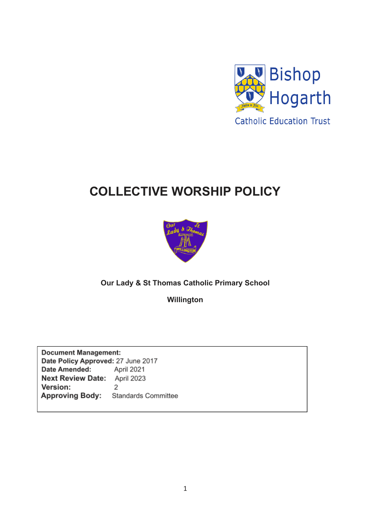

# **COLLECTIVE WORSHIP POLICY**



## **Our Lady & St Thomas Catholic Primary School**

**Willington**

**Document Management:** Date Policy Approved: 27 June 2017 Date Amended: April 2021 Next Review Date: April 2023 Version:  $\overline{2}$ **Approving Body:** Standards Committee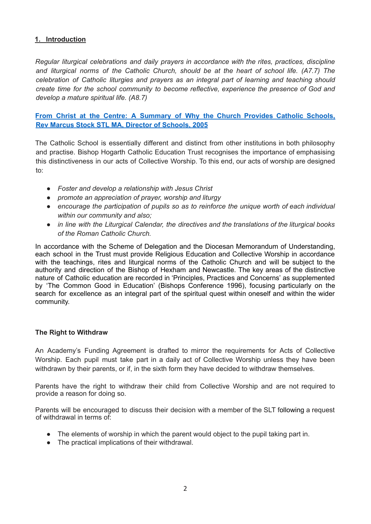## **1. Introduction**

*Regular liturgical celebrations and daily prayers in accordance with the rites, practices, discipline and liturgical norms of the Catholic Church, should be at the heart of school life. (A7.7) The celebration of Catholic liturgies and prayers as an integral part of learning and teaching should create time for the school community to become reflective, experience the presence of God and develop a mature spiritual life. (A8.7)*

## **From Christ at the Centre: A Summary of Why the Church Provides Catholic Schools, Rev Marcus Stock STL MA, Director of Schools, 2005**

The Catholic School is essentially different and distinct from other institutions in both philosophy and practise. Bishop Hogarth Catholic Education Trust recognises the importance of emphasising this distinctiveness in our acts of Collective Worship. To this end, our acts of worship are designed to:

- *● Foster and develop a relationship with Jesus Christ*
- *● promote an appreciation of prayer, worship and liturgy*
- *● encourage the participation of pupils so as to reinforce the unique worth of each individual within our community and also;*
- *● in line with the Liturgical Calendar, the directives and the translations of the liturgical books of the Roman Catholic Church.*

In accordance with the Scheme of Delegation and the Diocesan Memorandum of Understanding, each school in the Trust must provide Religious Education and Collective Worship in accordance with the teachings, rites and liturgical norms of the Catholic Church and will be subject to the authority and direction of the Bishop of Hexham and Newcastle. The key areas of the distinctive nature of Catholic education are recorded in 'Principles, Practices and Concerns' as supplemented by 'The Common Good in Education' (Bishops Conference 1996), focusing particularly on the search for excellence as an integral part of the spiritual quest within oneself and within the wider community.

#### **The Right to Withdraw**

An Academy's Funding Agreement is drafted to mirror the requirements for Acts of Collective Worship. Each pupil must take part in a daily act of Collective Worship unless they have been withdrawn by their parents, or if, in the sixth form they have decided to withdraw themselves.

Parents have the right to withdraw their child from Collective Worship and are not required to provide a reason for doing so.

Parents will be encouraged to discuss their decision with a member of the SLT following a request of withdrawal in terms of:

- The elements of worship in which the parent would object to the pupil taking part in.
- The practical implications of their withdrawal.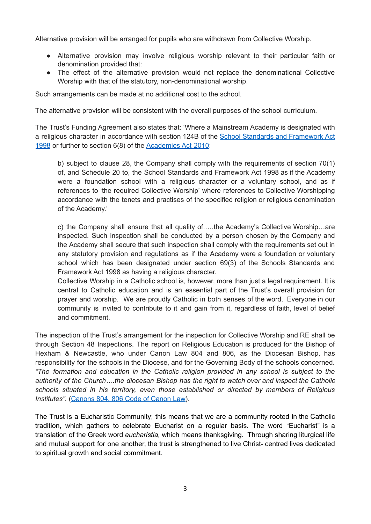Alternative provision will be arranged for pupils who are withdrawn from Collective Worship.

- Alternative provision may involve religious worship relevant to their particular faith or denomination provided that:
- The effect of the alternative provision would not replace the denominational Collective Worship with that of the statutory, non-denominational worship.

Such arrangements can be made at no additional cost to the school.

The alternative provision will be consistent with the overall purposes of the school curriculum.

The Trust's Funding Agreement also states that: 'Where a Mainstream Academy is designated with a religious character in accordance with section 124B of the School Standards and [Framework](http://www.legislation.gov.uk/ukpga/1998/31/contents) Act [1998](http://www.legislation.gov.uk/ukpga/1998/31/contents) or further to section 6(8) of the [Academies](http://www.legislation.gov.uk/ukpga/2010/32/schedule/1) Act 2010:

b) subject to clause 28, the Company shall comply with the requirements of section 70(1) of, and Schedule 20 to, the School Standards and Framework Act 1998 as if the Academy were a foundation school with a religious character or a voluntary school, and as if references to 'the required Collective Worship' where references to Collective Worshipping accordance with the tenets and practises of the specified religion or religious denomination of the Academy.'

c) the Company shall ensure that all quality of.….the Academy's Collective Worship…are inspected. Such inspection shall be conducted by a person chosen by the Company and the Academy shall secure that such inspection shall comply with the requirements set out in any statutory provision and regulations as if the Academy were a foundation or voluntary school which has been designated under section 69(3) of the Schools Standards and Framework Act 1998 as having a religious character.

Collective Worship in a Catholic school is, however, more than just a legal requirement. It is central to Catholic education and is an essential part of the Trust's overall provision for prayer and worship. We are proudly Catholic in both senses of the word. Everyone in our community is invited to contribute to it and gain from it, regardless of faith, level of belief and commitment.

The inspection of the Trust's arrangement for the inspection for Collective Worship and RE shall be through Section 48 Inspections. The report on Religious Education is produced for the Bishop of Hexham & Newcastle, who under Canon Law 804 and 806, as the Diocesan Bishop, has responsibility for the schools in the Diocese, and for the Governing Body of the schools concerned. *"The formation and education in the Catholic religion provided in any school is subject to the authority of the Church….the diocesan Bishop has the right to watch over and inspect the Catholic schools situated in his territory, even those established or directed by members of Religious Institutes".* [\(Canons](http://www.vatican.va/archive/ENG1104/_P2N.HTM) 804, 806 Code of Canon Law).

The Trust is a Eucharistic Community; this means that we are a community rooted in the Catholic tradition, which gathers to celebrate Eucharist on a regular basis. The word "Eucharist" is a translation of the Greek word *eucharistia,* which means thanksgiving. Through sharing liturgical life and mutual support for one another, the trust is strengthened to live Christ- centred lives dedicated to spiritual growth and social commitment.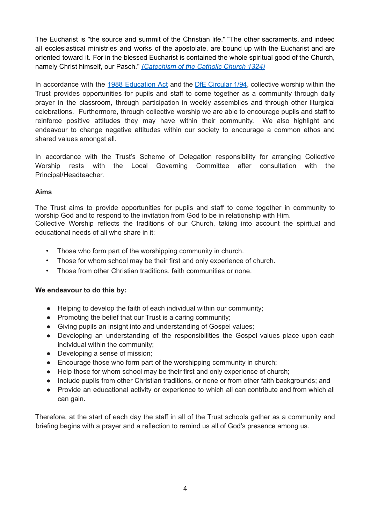The Eucharist is "the source and summit of the Christian life." "The other sacraments, and indeed all ecclesiastical ministries and works of the apostolate, are bound up with the Eucharist and are oriented toward it. For in the blessed Eucharist is contained the whole spiritual good of the Church, namely Christ himself, our Pasch." *[\(Catechism](http://www.vatican.va/archive/ccc_css/archive/catechism/p2s2c1a3.htm) of the Catholic Church 1324)*

In accordance with the 1988 [Education](http://www.legislation.gov.uk/ukpga/1988/40/contents) Act and the DfE [Circular](https://www.gov.uk/government/uploads/system/uploads/attachment_data/file/281929/Collective_worship_in_schools.pdf) 1/94, collective worship within the Trust provides opportunities for pupils and staff to come together as a community through daily prayer in the classroom, through participation in weekly assemblies and through other liturgical celebrations. Furthermore, through collective worship we are able to encourage pupils and staff to reinforce positive attitudes they may have within their community. We also highlight and endeavour to change negative attitudes within our society to encourage a common ethos and shared values amongst all.

In accordance with the Trust's Scheme of Delegation responsibility for arranging Collective Worship rests with the Local Governing Committee after consultation with the Principal/Headteacher.

## **Aims**

The Trust aims to provide opportunities for pupils and staff to come together in community to worship God and to respond to the invitation from God to be in relationship with Him. Collective Worship reflects the traditions of our Church, taking into account the spiritual and educational needs of all who share in it:

- Those who form part of the worshipping community in church.
- Those for whom school may be their first and only experience of church.
- Those from other Christian traditions, faith communities or none.

## **We endeavour to do this by:**

- Helping to develop the faith of each individual within our community;
- Promoting the belief that our Trust is a caring community;
- Giving pupils an insight into and understanding of Gospel values;
- Developing an understanding of the responsibilities the Gospel values place upon each individual within the community;
- Developing a sense of mission;
- Encourage those who form part of the worshipping community in church;
- Help those for whom school may be their first and only experience of church:
- Include pupils from other Christian traditions, or none or from other faith backgrounds; and
- Provide an educational activity or experience to which all can contribute and from which all can gain.

Therefore, at the start of each day the staff in all of the Trust schools gather as a community and briefing begins with a prayer and a reflection to remind us all of God's presence among us.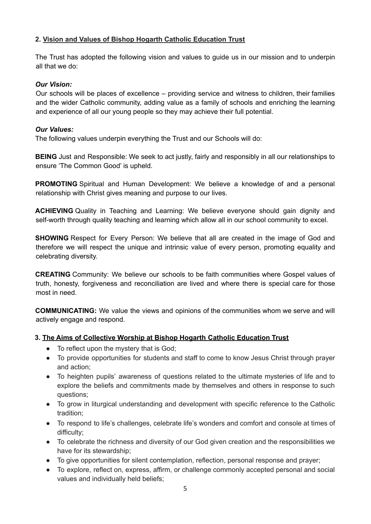## **2. Vision and Values of Bishop Hogarth Catholic Education Trust**

The Trust has adopted the following vision and values to guide us in our mission and to underpin all that we do:

## *Our Vision:*

Our schools will be places of excellence – providing service and witness to children, their families and the wider Catholic community, adding value as a family of schools and enriching the learning and experience of all our young people so they may achieve their full potential.

## *Our Values:*

The following values underpin everything the Trust and our Schools will do:

**BEING** Just and Responsible: We seek to act justly, fairly and responsibly in all our relationships to ensure 'The Common Good' is upheld.

**PROMOTING** Spiritual and Human Development: We believe a knowledge of and a personal relationship with Christ gives meaning and purpose to our lives.

**ACHIEVING** Quality in Teaching and Learning: We believe everyone should gain dignity and self-worth through quality teaching and learning which allow all in our school community to excel.

**SHOWING** Respect for Every Person: We believe that all are created in the image of God and therefore we will respect the unique and intrinsic value of every person, promoting equality and celebrating diversity.

**CREATING** Community: We believe our schools to be faith communities where Gospel values of truth, honesty, forgiveness and reconciliation are lived and where there is special care for those most in need.

**COMMUNICATING:** We value the views and opinions of the communities whom we serve and will actively engage and respond.

## **3. The Aims of Collective Worship at Bishop Hogarth Catholic Education Trust**

- To reflect upon the mystery that is God;
- To provide opportunities for students and staff to come to know Jesus Christ through prayer and action;
- To heighten pupils' awareness of questions related to the ultimate mysteries of life and to explore the beliefs and commitments made by themselves and others in response to such questions;
- To grow in liturgical understanding and development with specific reference to the Catholic tradition;
- To respond to life's challenges, celebrate life's wonders and comfort and console at times of difficulty;
- To celebrate the richness and diversity of our God given creation and the responsibilities we have for its stewardship;
- To give opportunities for silent contemplation, reflection, personal response and prayer;
- To explore, reflect on, express, affirm, or challenge commonly accepted personal and social values and individually held beliefs;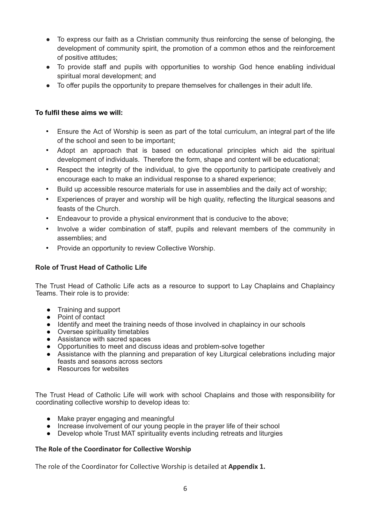- To express our faith as a Christian community thus reinforcing the sense of belonging, the development of community spirit, the promotion of a common ethos and the reinforcement of positive attitudes;
- To provide staff and pupils with opportunities to worship God hence enabling individual spiritual moral development; and
- To offer pupils the opportunity to prepare themselves for challenges in their adult life.

## **To fulfil these aims we will:**

- Ensure the Act of Worship is seen as part of the total curriculum, an integral part of the life of the school and seen to be important;
- Adopt an approach that is based on educational principles which aid the spiritual development of individuals. Therefore the form, shape and content will be educational;
- Respect the integrity of the individual, to give the opportunity to participate creatively and encourage each to make an individual response to a shared experience;
- Build up accessible resource materials for use in assemblies and the daily act of worship;
- Experiences of prayer and worship will be high quality, reflecting the liturgical seasons and feasts of the Church.
- Endeavour to provide a physical environment that is conducive to the above;
- Involve a wider combination of staff, pupils and relevant members of the community in assemblies; and
- Provide an opportunity to review Collective Worship.

## **Role of Trust Head of Catholic Life**

The Trust Head of Catholic Life acts as a resource to support to Lay Chaplains and Chaplaincy Teams. Their role is to provide:

- Training and support
- Point of contact
- Identify and meet the training needs of those involved in chaplaincy in our schools
- Oversee spirituality timetables
- Assistance with sacred spaces
- Opportunities to meet and discuss ideas and problem-solve together
- Assistance with the planning and preparation of key Liturgical celebrations including major feasts and seasons across sectors
- Resources for websites

The Trust Head of Catholic Life will work with school Chaplains and those with responsibility for coordinating collective worship to develop ideas to:

- Make prayer engaging and meaningful
- $\bullet$  Increase involvement of our young people in the prayer life of their school
- Develop whole Trust MAT spirituality events including retreats and liturgies

#### **The Role of the Coordinator for Collective Worship**

The role of the Coordinator for Collective Worship is detailed at **Appendix 1.**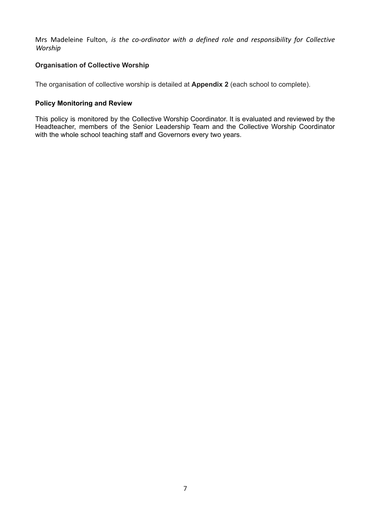Mrs Madeleine Fulton, *is the co-ordinator with a defined role and responsibility for Collective Worship*

## **Organisation of Collective Worship**

The organisation of collective worship is detailed at **Appendix 2** (each school to complete).

#### **Policy Monitoring and Review**

This policy is monitored by the Collective Worship Coordinator. It is evaluated and reviewed by the Headteacher, members of the Senior Leadership Team and the Collective Worship Coordinator with the whole school teaching staff and Governors every two years.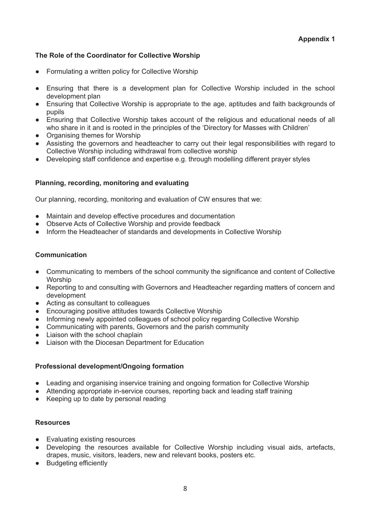## **The Role of the Coordinator for Collective Worship**

- Formulating a written policy for Collective Worship
- Ensuring that there is a development plan for Collective Worship included in the school development plan
- Ensuring that Collective Worship is appropriate to the age, aptitudes and faith backgrounds of pupils
- Ensuring that Collective Worship takes account of the religious and educational needs of all who share in it and is rooted in the principles of the 'Directory for Masses with Children'
- Organising themes for Worship
- Assisting the governors and headteacher to carry out their legal responsibilities with regard to Collective Worship including withdrawal from collective worship
- Developing staff confidence and expertise e.g. through modelling different prayer styles

#### **Planning, recording, monitoring and evaluating**

Our planning, recording, monitoring and evaluation of CW ensures that we:

- Maintain and develop effective procedures and documentation
- Observe Acts of Collective Worship and provide feedback
- Inform the Headteacher of standards and developments in Collective Worship

#### **Communication**

- Communicating to members of the school community the significance and content of Collective **Worship**
- Reporting to and consulting with Governors and Headteacher regarding matters of concern and development
- Acting as consultant to colleagues
- Encouraging positive attitudes towards Collective Worship
- Informing newly appointed colleagues of school policy regarding Collective Worship
- Communicating with parents, Governors and the parish community
- Liaison with the school chaplain
- Liaison with the Diocesan Department for Education

#### **Professional development/Ongoing formation**

- Leading and organising inservice training and ongoing formation for Collective Worship
- Attending appropriate in-service courses, reporting back and leading staff training
- Keeping up to date by personal reading

#### **Resources**

- Evaluating existing resources
- Developing the resources available for Collective Worship including visual aids, artefacts, drapes, music, visitors, leaders, new and relevant books, posters etc.
- Budgeting efficiently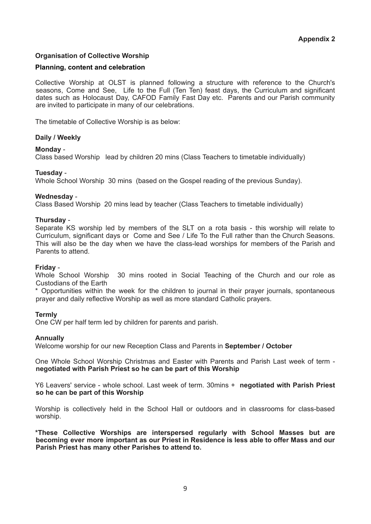## **Organisation of Collective Worship**

#### **Planning, content and celebration**

Collective Worship at OLST is planned following a structure with reference to the Church's seasons, Come and See, Life to the Full (Ten Ten) feast days, the Curriculum and significant dates such as Holocaust Day, CAFOD Family Fast Day etc. Parents and our Parish community are invited to participate in many of our celebrations.

The timetable of Collective Worship is as below:

#### **Daily / Weekly**

#### **Monday** -

Class based Worship lead by children 20 mins (Class Teachers to timetable individually)

#### **Tuesday** -

Whole School Worship 30 mins (based on the Gospel reading of the previous Sunday).

#### **Wednesday** -

Class Based Worship 20 mins lead by teacher (Class Teachers to timetable individually)

#### **Thursday** -

Separate KS worship led by members of the SLT on a rota basis - this worship will relate to Curriculum, significant days or Come and See / Life To the Full rather than the Church Seasons. This will also be the day when we have the class-lead worships for members of the Parish and Parents to attend.

#### **Friday** -

Whole School Worship 30 mins rooted in Social Teaching of the Church and our role as Custodians of the Earth

\* Opportunities within the week for the children to journal in their prayer journals, spontaneous prayer and daily reflective Worship as well as more standard Catholic prayers.

#### **Termly**

One CW per half term led by children for parents and parish.

#### **Annually**

Welcome worship for our new Reception Class and Parents in **September / October**

One Whole School Worship Christmas and Easter with Parents and Parish Last week of term **negotiated with Parish Priest so he can be part of this Worship**

Y6 Leavers' service - whole school. Last week of term. 30mins + **negotiated with Parish Priest so he can be part of this Worship**

Worship is collectively held in the School Hall or outdoors and in classrooms for class-based worship.

**\*These Collective Worships are interspersed regularly with School Masses but are becoming ever more important as our Priest in Residence is less able to offer Mass and our Parish Priest has many other Parishes to attend to.**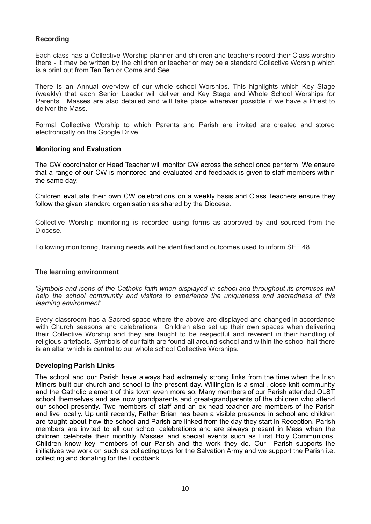#### **Recording**

Each class has a Collective Worship planner and children and teachers record their Class worship there - it may be written by the children or teacher or may be a standard Collective Worship which is a print out from Ten Ten or Come and See.

There is an Annual overview of our whole school Worships. This highlights which Key Stage (weekly) that each Senior Leader will deliver and Key Stage and Whole School Worships for Parents. Masses are also detailed and will take place wherever possible if we have a Priest to deliver the Mass.

Formal Collective Worship to which Parents and Parish are invited are created and stored electronically on the Google Drive.

#### **Monitoring and Evaluation**

The CW coordinator or Head Teacher will monitor CW across the school once per term. We ensure that a range of our CW is monitored and evaluated and feedback is given to staff members within the same day.

Children evaluate their own CW celebrations on a weekly basis and Class Teachers ensure they follow the given standard organisation as shared by the Diocese.

Collective Worship monitoring is recorded using forms as approved by and sourced from the Diocese.

Following monitoring, training needs will be identified and outcomes used to inform SEF 48.

#### **The learning environment**

*'Symbols and icons of the Catholic faith when displayed in school and throughout its premises will help the school community and visitors to experience the uniqueness and sacredness of this learning environment'*

Every classroom has a Sacred space where the above are displayed and changed in accordance with Church seasons and celebrations. Children also set up their own spaces when delivering their Collective Worship and they are taught to be respectful and reverent in their handling of religious artefacts. Symbols of our faith are found all around school and within the school hall there is an altar which is central to our whole school Collective Worships.

#### **Developing Parish Links**

The school and our Parish have always had extremely strong links from the time when the Irish Miners built our church and school to the present day. Willington is a small, close knit community and the Catholic element of this town even more so. Many members of our Parish attended OLST school themselves and are now grandparents and great-grandparents of the children who attend our school presently. Two members of staff and an ex-head teacher are members of the Parish and live locally. Up until recently, Father Brian has been a visible presence in school and children are taught about how the school and Parish are linked from the day they start in Reception. Parish members are invited to all our school celebrations and are always present in Mass when the children celebrate their monthly Masses and special events such as First Holy Communions. Children know key members of our Parish and the work they do. Our Parish supports the initiatives we work on such as collecting toys for the Salvation Army and we support the Parish i.e. collecting and donating for the Foodbank.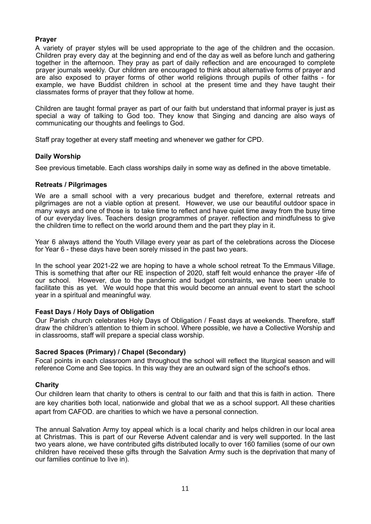#### **Prayer**

A variety of prayer styles will be used appropriate to the age of the children and the occasion. Children pray every day at the beginning and end of the day as well as before lunch and gathering together in the afternoon. They pray as part of daily reflection and are encouraged to complete prayer journals weekly. Our children are encouraged to think about alternative forms of prayer and are also exposed to prayer forms of other world religions through pupils of other faiths - for example, we have Buddist children in school at the present time and they have taught their classmates forms of prayer that they follow at home.

Children are taught formal prayer as part of our faith but understand that informal prayer is just as special a way of talking to God too. They know that Singing and dancing are also ways of communicating our thoughts and feelings to God.

Staff pray together at every staff meeting and whenever we gather for CPD.

#### **Daily Worship**

See previous timetable. Each class worships daily in some way as defined in the above timetable.

#### **Retreats / Pilgrimages**

We are a small school with a very precarious budget and therefore, external retreats and pilgrimages are not a viable option at present. However, we use our beautiful outdoor space in many ways and one of those is to take time to reflect and have quiet time away from the busy time of our everyday lives. Teachers design programmes of prayer. reflection and mindfulness to give the children time to reflect on the world around them and the part they play in it.

Year 6 always attend the Youth Village every year as part of the celebrations across the Diocese for Year 6 - these days have been sorely missed in the past two years.

In the school year 2021-22 we are hoping to have a whole school retreat To the Emmaus Village. This is something that after our RE inspection of 2020, staff felt would enhance the prayer -life of our school. However, due to the pandemic and budget constraints, we have been unable to facilitate this as yet. We would hope that this would become an annual event to start the school year in a spiritual and meaningful way.

#### **Feast Days / Holy Days of Obligation**

Our Parish church celebrates Holy Days of Obligation / Feast days at weekends. Therefore, staff draw the children's attention to thiem in school. Where possible, we have a Collective Worship and in classrooms, staff will prepare a special class worship.

#### **Sacred Spaces (Primary) / Chapel (Secondary)**

Focal points in each classroom and throughout the school will reflect the liturgical season and will reference Come and See topics. In this way they are an outward sign of the school's ethos.

#### **Charity**

Our children learn that charity to others is central to our faith and that this is faith in action. There are key charities both local, nationwide and global that we as a school support. All these charities apart from CAFOD. are charities to which we have a personal connection.

The annual Salvation Army toy appeal which is a local charity and helps children in our local area at Christmas. This is part of our Reverse Advent calendar and is very well supported. In the last two years alone, we have contributed gifts distributed locally to over 160 families (some of our own children have received these gifts through the Salvation Army such is the deprivation that many of our families continue to live in).